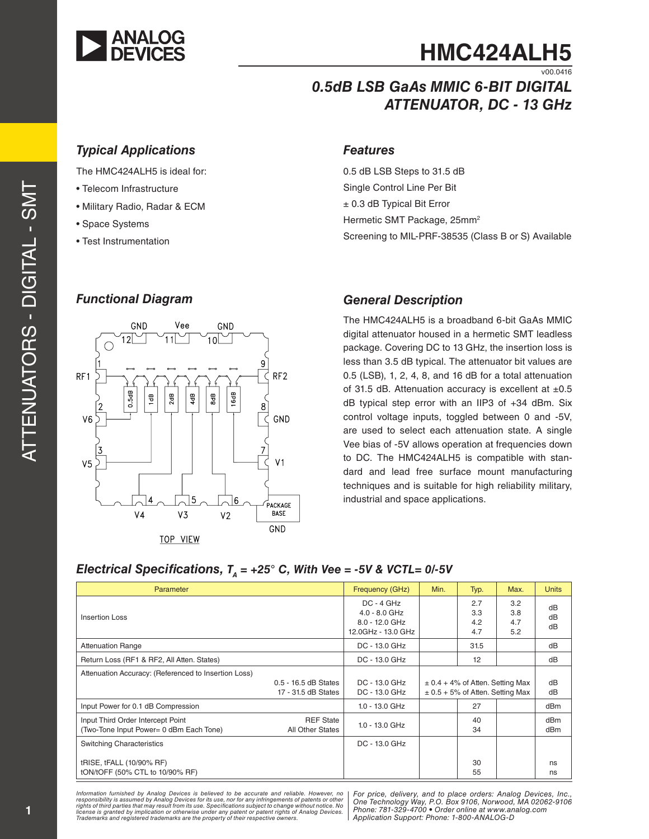

# **HMC424ALH5**

v00.0416

# *0.5dB LSB GaAs MMIC 6-BIT DIGITAL ATTENUATOR, DC - 13 GHz*

## *Typical Applications Features*

The HMC424ALH5 is ideal for:

- Telecom Infrastructure
- Military Radio, Radar & ECM
- Space Systems
- Test Instrumentation

### *Functional Diagram*



0.5 dB LSB Steps to 31.5 dB Single Control Line Per Bit ± 0.3 dB Typical Bit Error Hermetic SMT Package, 25mm<sup>2</sup> Screening to MIL-PRF-38535 (Class B or S) Available

### *General Description*

The HMC424ALH5 is a broadband 6-bit GaAs MMIC digital attenuator housed in a hermetic SMT leadless package. Covering DC to 13 GHz, the insertion loss is less than 3.5 dB typical. The attenuator bit values are 0.5 (LSB), 1, 2, 4, 8, and 16 dB for a total attenuation of 31.5 dB. Attenuation accuracy is excellent at  $\pm 0.5$ dB typical step error with an IIP3 of +34 dBm. Six control voltage inputs, toggled between 0 and -5V, are used to select each attenuation state. A single Vee bias of -5V allows operation at frequencies down to DC. The HMC424ALH5 is compatible with stan dard and lead free surface mount manufacturing techniques and is suitable for high reliability military, industrial and space applications.

# *Electrical Specifications, TA = +25° C, With Vee = -5V & VCTL= 0/-5V*

| Parameter                                                                    |                                             | Frequency (GHz)                                                         | Min.                                                                         | Typ.                     | Max.                     | <b>Units</b>                       |
|------------------------------------------------------------------------------|---------------------------------------------|-------------------------------------------------------------------------|------------------------------------------------------------------------------|--------------------------|--------------------------|------------------------------------|
| <b>Insertion Loss</b>                                                        |                                             | $DC - 4 GHz$<br>$4.0 - 8.0$ GHz<br>8.0 - 12.0 GHz<br>12.0GHz - 13.0 GHz |                                                                              | 2.7<br>3.3<br>4.2<br>4.7 | 3.2<br>3.8<br>4.7<br>5.2 | dB<br>dB<br>dB                     |
| <b>Attenuation Range</b>                                                     |                                             | DC - 13.0 GHz                                                           |                                                                              | 31.5                     |                          | dB                                 |
| Return Loss (RF1 & RF2, All Atten. States)                                   |                                             | DC - 13.0 GHz                                                           |                                                                              | 12                       |                          | dB                                 |
| Attenuation Accuracy: (Referenced to Insertion Loss)                         | 0.5 - 16.5 dB States<br>17 - 31.5 dB States | DC - 13.0 GHz<br>DC - 13.0 GHz                                          | $\pm$ 0.4 + 4% of Atten. Setting Max<br>$\pm$ 0.5 + 5% of Atten. Setting Max |                          | dB<br>dB                 |                                    |
| Input Power for 0.1 dB Compression                                           |                                             | 1.0 - 13.0 GHz                                                          |                                                                              | 27                       |                          | dB <sub>m</sub>                    |
| Input Third Order Intercept Point<br>(Two-Tone Input Power= 0 dBm Each Tone) | <b>REF State</b><br>All Other States        | $1.0 - 13.0$ GHz                                                        |                                                                              | 40<br>34                 |                          | dB <sub>m</sub><br>dB <sub>m</sub> |
| <b>Switching Characteristics</b>                                             |                                             | DC - 13.0 GHz                                                           |                                                                              |                          |                          |                                    |
| tRISE, tFALL (10/90% RF)<br>tON/tOFF (50% CTL to 10/90% RF)                  |                                             |                                                                         |                                                                              | 30<br>55                 |                          | ns<br>ns                           |

Information furnished by Analog Devices is believed to be accurate and reliable. However, no<br>responsibility is assumed by Analog Devices for its use, nor for any infringements of patents or other<br>rights of third parties th license is granted by implication or otherwise under any patent or patent rights of Analog Devices.<br>Trademarks and registered trademarks are the property of their respective owners.

*For price, delivery, and to place orders: Analog Devices, Inc., One Technology Way, P.O. Box 9106, Norwood, MA 02062-9106 Phone: 781-329-4700 • Order online at www.analog.com Application Support: Phone: 1-800-ANALOG-D*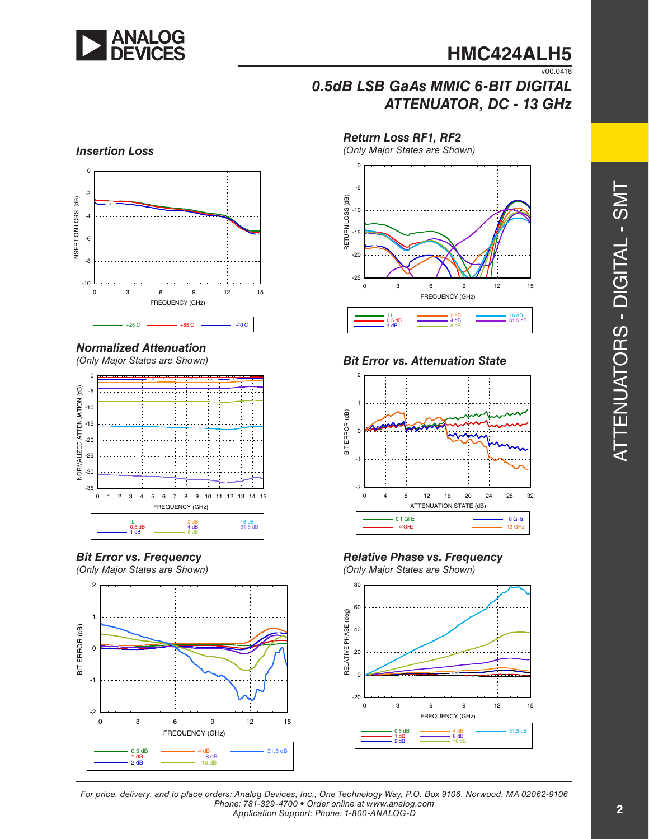

# *0.5dB LSB GaAs MMIC 6-BIT DIGITAL ATTENUATOR, DC - 13 GHz*

*Return Loss RF1, RF2*



# *Normalized Attenuation*

*(Only Major States are Shown)*



*Bit Error vs. Frequency (Only Major States are Shown)*





*Bit Error vs. Attenuation State*





*(Only Major States are Shown)*



*For price, delivery, and to place orders: Analog Devices, Inc., One Technology Way, P.O. Box 9106, Norwood, MA 02062-9106 Phone: 781-329-4700 • Order online at www.analog.com Application Support: Phone: 1-800-ANALOG-D*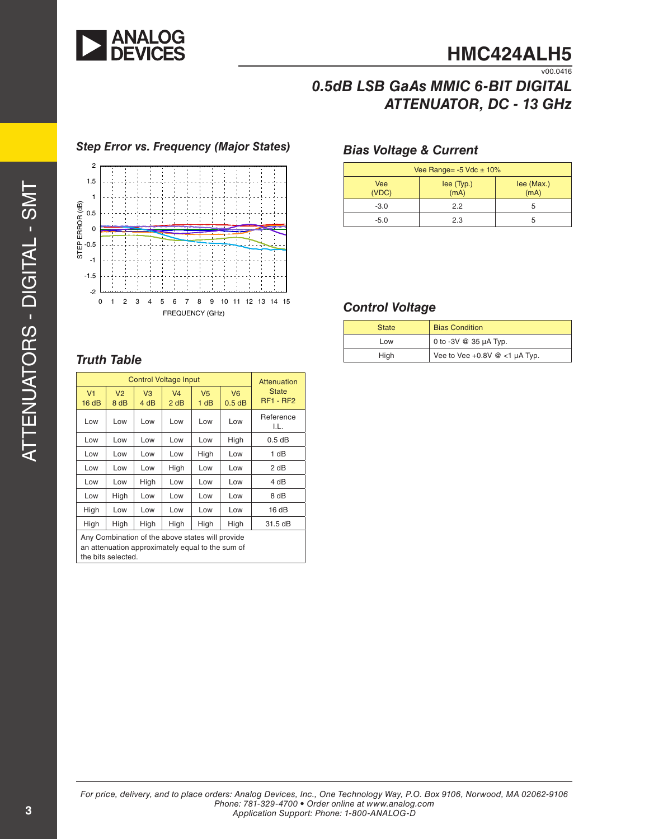

# *0.5dB LSB GaAs MMIC 6-BIT DIGITAL ATTENUATOR, DC - 13 GHz*

# -2 -1.5 -1 0<br>0.5-1<br>0.5  $\begin{array}{c} 2 \\ 1.5 \end{array}$ 0 1 2 3 4 5 6 7 8 9 10 11 12 13 14 15 STEP ERROR (dB) FREQUENCY (GHz)

# *Bias Voltage & Current Step Error vs. Frequency (Major States)*

# *Truth Table*

| <b>Control Voltage Input</b>                                                                                               |                        |                        |                        |                        | Attenuation                |                                  |
|----------------------------------------------------------------------------------------------------------------------------|------------------------|------------------------|------------------------|------------------------|----------------------------|----------------------------------|
| V <sub>1</sub><br>16dB                                                                                                     | V <sub>2</sub><br>8 dB | V <sub>3</sub><br>4 dB | V <sub>4</sub><br>2 dB | V <sub>5</sub><br>1 dB | V <sub>6</sub><br>$0.5$ dB | <b>State</b><br><b>RF1 - RF2</b> |
| Low                                                                                                                        | Low                    | Low                    | Low                    | Low                    | Low                        | Reference<br>I.L.                |
| Low                                                                                                                        | Low                    | Low                    | Low                    | Low                    | High                       | $0.5$ dB                         |
| Low                                                                                                                        | Low                    | Low                    | Low                    | High                   | Low                        | 1 dB                             |
| Low                                                                                                                        | Low                    | Low                    | High                   | Low                    | Low                        | 2 dB                             |
| Low                                                                                                                        | Low                    | High                   | Low                    | Low                    | Low                        | 4 dB                             |
| Low                                                                                                                        | High                   | Low                    | Low                    | Low                    | Low                        | 8 dB                             |
| High                                                                                                                       | Low                    | Low                    | Low                    | Low                    | Low                        | 16dB                             |
| High                                                                                                                       | High                   | High                   | High                   | High                   | High                       | 31.5 dB                          |
| Any Combination of the above states will provide<br>an attenuation approximately equal to the sum of<br>the bits selected. |                        |                        |                        |                        |                            |                                  |

| Vee Range= $-5$ Vdc $\pm$ 10% |                    |                    |  |
|-------------------------------|--------------------|--------------------|--|
| <b>Vee</b><br>(VDC)           | lee (Typ.)<br>(mA) | lee (Max.)<br>(mA) |  |
| $-3.0$                        | 22                 | b                  |  |
| $-5.0$                        | 2.3                |                    |  |

### *Control Voltage*

| <b>State</b> | <b>Bias Condition</b>                 |
|--------------|---------------------------------------|
| Low          | 0 to -3V @ 35 µA Typ.                 |
| High         | Vee to Vee $+0.8V \otimes <1$ µA Typ. |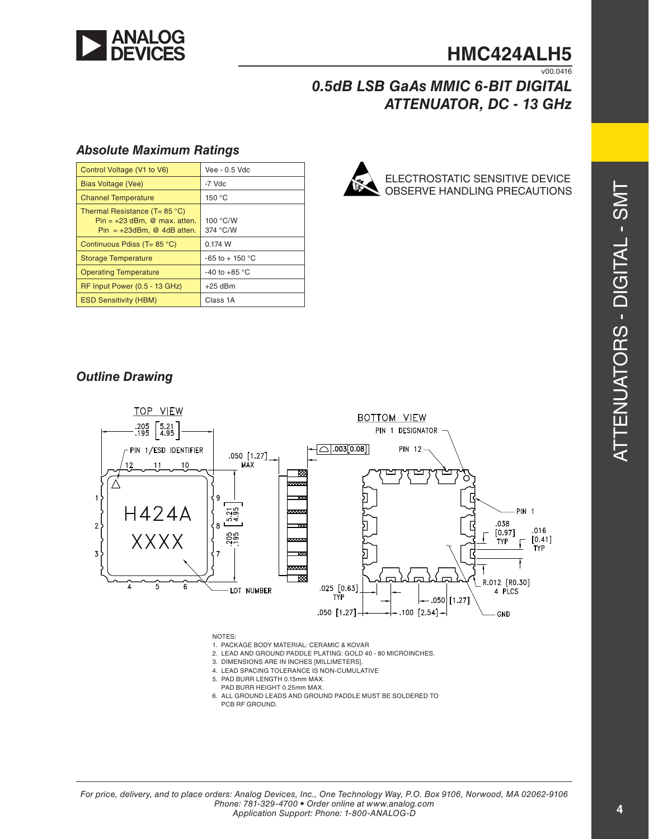

### **HMC424ALH5**  $V00.0416$

# *0.5dB LSB GaAs MMIC 6-BIT DIGITAL ATTENUATOR, DC - 13 GHz*

### *Absolute Maximum Ratings*

| Control Voltage (V1 to V6)                                                                                | Vee - 0.5 Vdc        |
|-----------------------------------------------------------------------------------------------------------|----------------------|
| <b>Bias Voltage (Vee)</b>                                                                                 | -7 Vdc               |
| <b>Channel Temperature</b>                                                                                | 150 °C               |
| Thermal Resistance (T= $85^{\circ}$ C)<br>$Pin = +23$ dBm. @ max. atten.<br>$Pin = +23dBm$ , @ 4dB atten. | 100 °C/W<br>374 °C/W |
| Continuous Pdiss (T= 85 °C)                                                                               | 0.174 W              |
| <b>Storage Temperature</b>                                                                                | $-65$ to $+150$ °C   |
| <b>Operating Temperature</b>                                                                              | $-40$ to $+85$ °C    |
| RF Input Power (0.5 - 13 GHz)                                                                             | $+25$ dBm            |
| <b>ESD Sensitivity (HBM)</b>                                                                              | Class 1A             |



ELECTROSTATIC SENSITIVE DEVICE OBSERVE HANDLING PRECAUTIONS

### *Outline Drawing*



- 
- 3. DIMENSIONS ARE IN INCHES [MILLIMETERS].
- 4. LEAD SPACING TOLERANCE IS NON-CUMULATIVE
- 5. PAD BURR LENGTH 0.15mm MAX. PAD BURR HEIGHT 0.25mm MAX.
- 6. ALL GROUND LEADS AND GROUND PADDLE MUST BE SOLDERED TO PCB RF GROUND.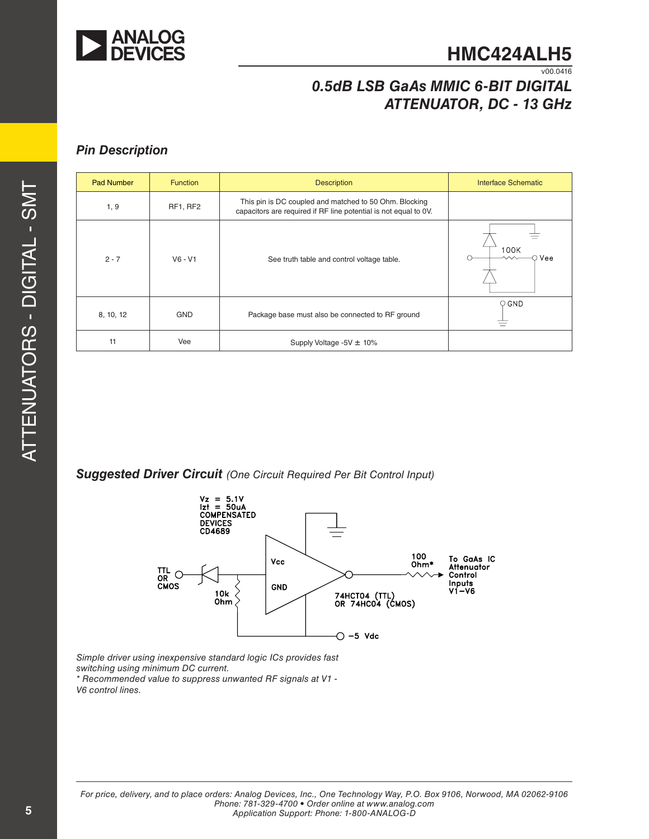

# *0.5dB LSB GaAs MMIC 6-BIT DIGITAL ATTENUATOR, DC - 13 GHz*

### *Pin Description*

| <b>Pad Number</b> | <b>Function</b> | <b>Description</b>                                                                                                         | Interface Schematic |
|-------------------|-----------------|----------------------------------------------------------------------------------------------------------------------------|---------------------|
| 1, 9              | RF1, RF2        | This pin is DC coupled and matched to 50 Ohm. Blocking<br>capacitors are required if RF line potential is not equal to 0V. |                     |
| $2 - 7$           | $V6 - V1$       | See truth table and control voltage table.                                                                                 | 100K<br>Vee         |
| 8, 10, 12         | <b>GND</b>      | Package base must also be connected to RF ground                                                                           | $\circ$ GND         |
| 11                | Vee             | Supply Voltage -5V $\pm$ 10%                                                                                               |                     |

*Suggested Driver Circuit (One Circuit Required Per Bit Control Input)*



*Simple driver using inexpensive standard logic ICs provides fast switching using minimum DC current. \* Recommended value to suppress unwanted RF signals at V1 - V6 control lines.*

*For price, delivery, and to place orders: Analog Devices, Inc., One Technology Way, P.O. Box 9106, Norwood, MA 02062-9106 Phone: 781-329-4700 • Order online at www.analog.com Application Support: Phone: 1-800-ANALOG-D*